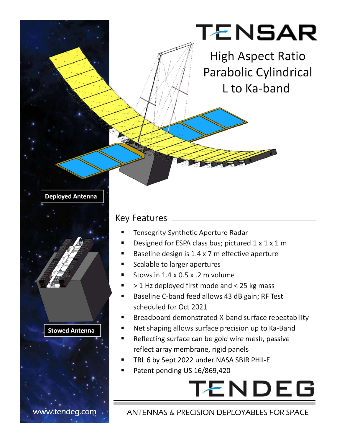## TENSAR

High Aspect Ratio Parabolic Cylindrical L to Ka-band

#### Deployed Antenna

#### Key Features

- Tensegrity Synthetic Aperture Radar
- Designed for ESPA class bus; pictured 1 x 1 x 1 m
- Baseline design is 1.4 x 7 m effective aperture
- Scalable to larger apertures
- Stows in 1.4 x 0.5 x .2 m volume
- > 1 Hz deployed first mode and < 25 kg mass
- Baseline C-band feed allows 43 dB gain; RF Test scheduled for Oct 2021
- Breadboard demonstrated X-band surface repeatability
- Net shaping allows surface precision up to Ka-Band
- Reflecting surface can be gold wire mesh, passive reflect array membrane, rigid panels
- TRL 6 by Sept 2022 under NASA SBIR PHII-E
- Patent pending US 16/869,420

# **TENDEG**

#### www.tendeg.com · ANTENNAS & PRECISION DEPLOYABLES FOR SPACE

Stowed Antenna